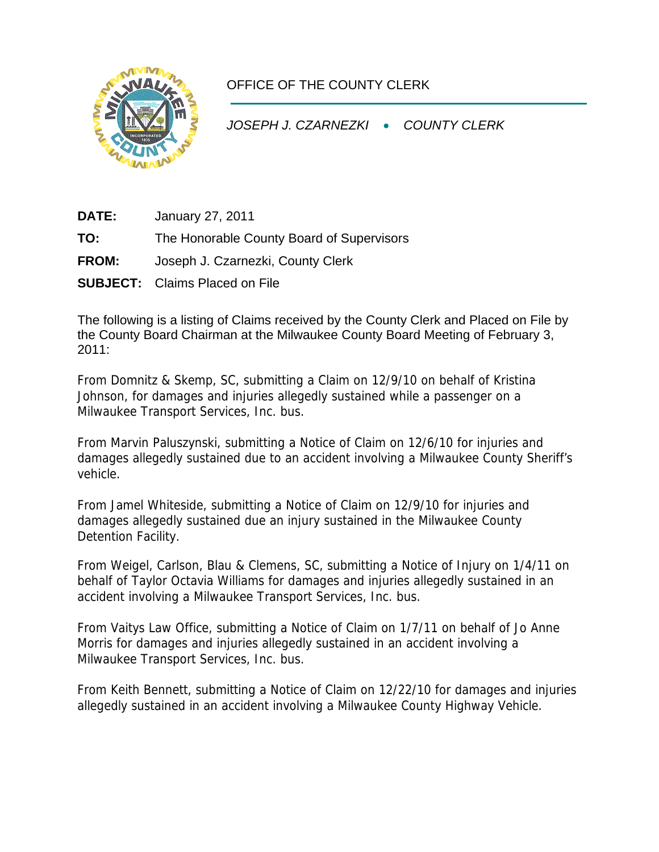

## OFFICE OF THE COUNTY CLERK

*JOSEPH J. CZARNEZKI* • *COUNTY CLERK* 

**DATE:** January 27, 2011

**TO:** The Honorable County Board of Supervisors

- **FROM:** Joseph J. Czarnezki, County Clerk
- **SUBJECT:** Claims Placed on File

The following is a listing of Claims received by the County Clerk and Placed on File by the County Board Chairman at the Milwaukee County Board Meeting of February 3, 2011:

From Domnitz & Skemp, SC, submitting a Claim on 12/9/10 on behalf of Kristina Johnson, for damages and injuries allegedly sustained while a passenger on a Milwaukee Transport Services, Inc. bus.

From Marvin Paluszynski, submitting a Notice of Claim on 12/6/10 for injuries and damages allegedly sustained due to an accident involving a Milwaukee County Sheriff's vehicle.

From Jamel Whiteside, submitting a Notice of Claim on 12/9/10 for injuries and damages allegedly sustained due an injury sustained in the Milwaukee County Detention Facility.

From Weigel, Carlson, Blau & Clemens, SC, submitting a Notice of Injury on 1/4/11 on behalf of Taylor Octavia Williams for damages and injuries allegedly sustained in an accident involving a Milwaukee Transport Services, Inc. bus.

From Vaitys Law Office, submitting a Notice of Claim on 1/7/11 on behalf of Jo Anne Morris for damages and injuries allegedly sustained in an accident involving a Milwaukee Transport Services, Inc. bus.

From Keith Bennett, submitting a Notice of Claim on 12/22/10 for damages and injuries allegedly sustained in an accident involving a Milwaukee County Highway Vehicle.